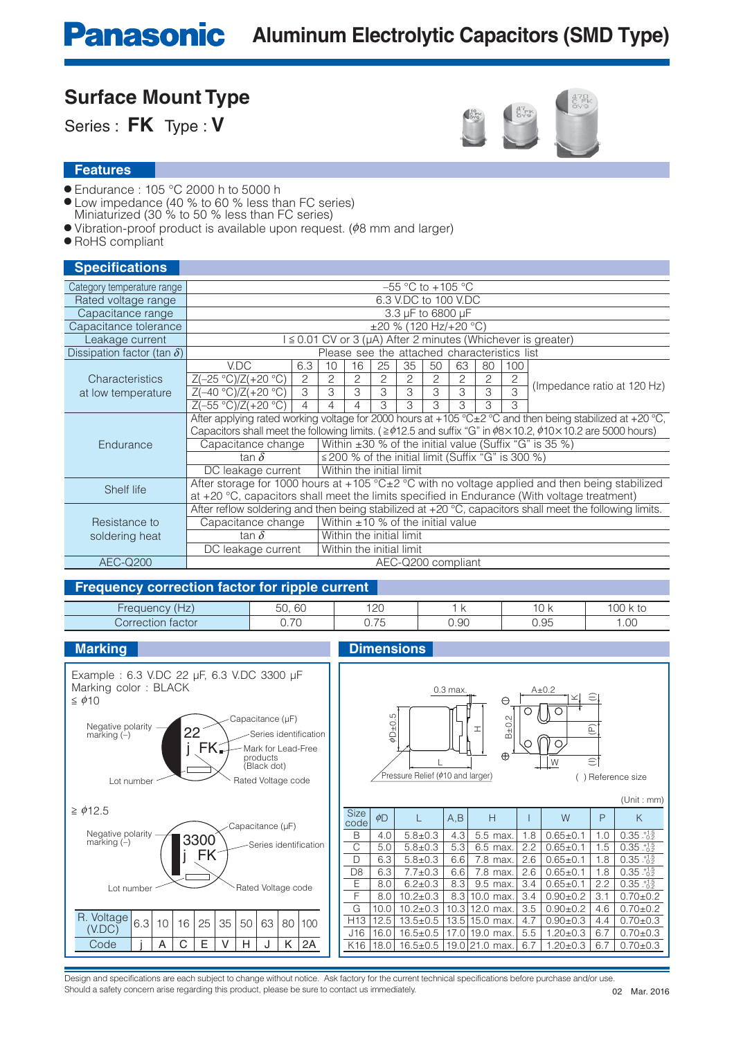**Surface Mount Type** Series : **FK** Type : **V**

- Endurance : 105 °C 2000 h to 5000 h
- Low impedance (40 % to 60 % less than FC series)
- Miniaturized (30 % to 50 % less than FC series)
- $\bullet$  Vibration-proof product is available upon request. ( $\phi$ 8 mm and larger)
- RoHS compliant

#### **Specifications**

| Category temperature range         | $-55$ °C to $+105$ °C                                                                                          |                                                                                                                                  |                                              |                                                         |    |    |    |                                        |    |     |                                                                       |  |
|------------------------------------|----------------------------------------------------------------------------------------------------------------|----------------------------------------------------------------------------------------------------------------------------------|----------------------------------------------|---------------------------------------------------------|----|----|----|----------------------------------------|----|-----|-----------------------------------------------------------------------|--|
| Rated voltage range                | 6.3 V.DC to 100 V.DC                                                                                           |                                                                                                                                  |                                              |                                                         |    |    |    |                                        |    |     |                                                                       |  |
| Capacitance range                  |                                                                                                                | 3.3 µF to 6800 µF                                                                                                                |                                              |                                                         |    |    |    |                                        |    |     |                                                                       |  |
| Capacitance tolerance              |                                                                                                                |                                                                                                                                  |                                              |                                                         |    |    |    | $\pm 20$ % (120 Hz/+20 °C)             |    |     |                                                                       |  |
| Leakage current                    |                                                                                                                |                                                                                                                                  |                                              |                                                         |    |    |    |                                        |    |     | $\leq$ 0.01 CV or 3 ( $\mu$ A) After 2 minutes (Whichever is greater) |  |
| Dissipation factor (tan $\delta$ ) |                                                                                                                |                                                                                                                                  | Please see the attached characteristics list |                                                         |    |    |    |                                        |    |     |                                                                       |  |
|                                    | V.DC                                                                                                           | 6.3                                                                                                                              | 10                                           | 16                                                      | 25 | 35 | 50 | 63                                     | 80 | 100 |                                                                       |  |
| Characteristics                    | $Z(-25 °C)/Z(+20 °C)$                                                                                          | 2                                                                                                                                | 2                                            | 2                                                       | 2  | 2  | 2  | 2                                      | 2  | 2   | (Impedance ratio at 120 Hz)                                           |  |
| at low temperature                 | $Z(-40 °C)/Z(+20 °C)$                                                                                          | 3                                                                                                                                | 3                                            | 3                                                       | 3  | 3  | 3  | 3                                      | 3  | 3   |                                                                       |  |
|                                    | $Z(-55 °C)/Z(+20 °C)$                                                                                          | 4                                                                                                                                |                                              | 4                                                       | 3  | 3  | 3  | 3                                      | 3  | 3   |                                                                       |  |
|                                    | After applying rated working voltage for 2000 hours at +105 °C $\pm$ 2 °C and then being stabilized at +20 °C, |                                                                                                                                  |                                              |                                                         |    |    |    |                                        |    |     |                                                                       |  |
|                                    |                                                                                                                | Capacitors shall meet the following limits. ( $\geq$ $\phi$ 12.5 and suffix "G" in $\phi$ 8×10.2, $\phi$ 10×10.2 are 5000 hours) |                                              |                                                         |    |    |    |                                        |    |     |                                                                       |  |
| Endurance                          | Capacitance change                                                                                             | Within $\pm 30$ % of the initial value (Suffix "G" is 35 %)                                                                      |                                              |                                                         |    |    |    |                                        |    |     |                                                                       |  |
|                                    | tan $\delta$                                                                                                   |                                                                                                                                  |                                              | $\leq$ 200 % of the initial limit (Suffix "G" is 300 %) |    |    |    |                                        |    |     |                                                                       |  |
|                                    | DC leakage current                                                                                             | Within the initial limit                                                                                                         |                                              |                                                         |    |    |    |                                        |    |     |                                                                       |  |
| Shelf life                         | After storage for 1000 hours at +105 °C±2 °C with no voltage applied and then being stabilized                 |                                                                                                                                  |                                              |                                                         |    |    |    |                                        |    |     |                                                                       |  |
|                                    | at +20 °C, capacitors shall meet the limits specified in Endurance (With voltage treatment)                    |                                                                                                                                  |                                              |                                                         |    |    |    |                                        |    |     |                                                                       |  |
|                                    | After reflow soldering and then being stabilized at +20 °C, capacitors shall meet the following limits.        |                                                                                                                                  |                                              |                                                         |    |    |    |                                        |    |     |                                                                       |  |
| Resistance to                      | Capacitance change                                                                                             |                                                                                                                                  |                                              |                                                         |    |    |    | Within $\pm 10$ % of the initial value |    |     |                                                                       |  |
| soldering heat                     | tan $\delta$                                                                                                   |                                                                                                                                  | Within the initial limit                     |                                                         |    |    |    |                                        |    |     |                                                                       |  |
|                                    | DC leakage current                                                                                             |                                                                                                                                  | Within the initial limit                     |                                                         |    |    |    |                                        |    |     |                                                                       |  |
| <b>AEC-Q200</b>                    |                                                                                                                |                                                                                                                                  |                                              |                                                         |    |    |    | AEC-Q200 compliant                     |    |     |                                                                       |  |

| ___                         |                             |                       |      |      |                 |
|-----------------------------|-----------------------------|-----------------------|------|------|-----------------|
| $\sqrt{1}$<br>۱۱۴<br>L      | $\sim$<br>$ -$<br>ЮU<br>JU. | $1^{\circ}$<br>ی کے ا |      | -    | $\sim$ $\sim$   |
| $\Gamma$<br>tactor<br>:tior | $\overline{\phantom{a}}$    | $\sim$<br>◡. ・        | 0.90 | 0.95 | $\cap$<br>, .UU |



Design and specifications are each subject to change without notice. Ask factory for the current technical specifications before purchase and/or use. Should a safety concern arise regarding this product, please be sure to contact us immediately.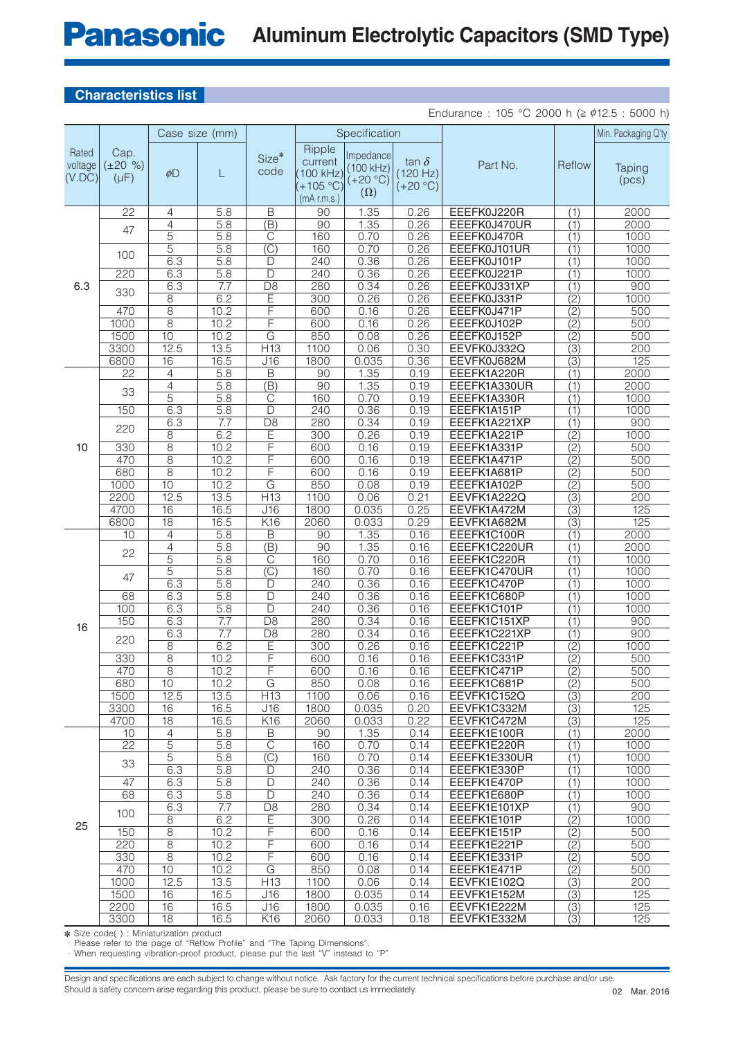### **Panasonic Aluminum Electrolytic Capacitors (SMD Type)**

### **Characteristics list**

Endurance : 105 °C 2000 h ( $\geq \phi$ 12.5 : 5000 h)

|                            |                                    | Case size (mm)        |                  |                                                      |                                                          | Specification                                      |                                        |                             |                                      | Min. Packaging Q'ty |
|----------------------------|------------------------------------|-----------------------|------------------|------------------------------------------------------|----------------------------------------------------------|----------------------------------------------------|----------------------------------------|-----------------------------|--------------------------------------|---------------------|
| Rated<br>voltage<br>(V.DC) | Cap.<br>$(\pm 20 \%)$<br>$(\mu F)$ | $\phi$ D              | L                | Size*<br>code                                        | Ripple<br>current<br>100 kHz)<br>+105 °C)<br>(mA r.m.s.) | Impedance<br>(100 kHz)<br>$(+20 °C)$<br>$(\Omega)$ | tan $\delta$<br>(120 Hz)<br>$(+20 °C)$ | Part No.                    | Reflow                               | Taping<br>(pcs)     |
|                            | $\overline{22}$                    | 4                     | 5.8              | $\overline{\mathsf{B}}$                              | $\overline{90}$                                          | 1.35                                               | 0.26                                   | EEEFK0J220R                 | (1)                                  | 2000                |
|                            | 47                                 | 4                     | 5.8              | $\overline{(\mathsf{B})}$                            | $\overline{90}$                                          | 1.35                                               | 0.26                                   | EEEFK0J470UR                | $\overline{(1)}$                     | 2000                |
|                            |                                    | 5                     | 5.8              | $\overline{C}$                                       | 160                                                      | 0.70                                               | 0.26                                   | EEEFK0J470R                 | (1)                                  | 1000                |
|                            | 100                                | 5                     | 5.8              | $\overline{\text{(C)}}$                              | 160                                                      | 0.70                                               | 0.26                                   | EEEFK0J101UR                | (1)                                  | 1000                |
|                            |                                    | 6.3                   | 5.8              | D                                                    | 240                                                      | 0.36                                               | 0.26                                   | EEEFK0J101P                 | $\overline{(1)}$                     | 1000                |
|                            | 220                                | 6.3                   | 5.8              | D                                                    | 240                                                      | 0.36                                               | 0.26                                   | EEEFK0J221P                 | (1)                                  | 1000                |
| 6.3                        | 330                                | 6.3                   | 7.7              | $\overline{D8}$                                      | 280                                                      | 0.34                                               | 0.26                                   | EEEFK0J331XP                | (1)                                  | 900                 |
|                            |                                    | $\overline{8}$        | 6.2              | E                                                    | 300                                                      | 0.26                                               | 0.26                                   | EEEFK0J331P                 | $\overline{(2)}$                     | 1000                |
|                            | 470                                | $\overline{8}$        | 10.2             | F                                                    | 600                                                      | 0.16                                               | 0.26                                   | EEEFK0J471P                 | (2)                                  | 500                 |
|                            | 1000                               | $\overline{8}$        | 10.2             | F                                                    | 600                                                      | 0.16                                               | 0.26                                   | EEEFK0J102P                 | $\overline{(2)}$                     | 500                 |
|                            | 1500                               | $\overline{10}$       | 10.2             | $\overline{\mathsf{G}}$                              | 850                                                      | 0.08                                               | 0.26                                   | EEEFK0J152P                 | $\overline{(2)}$                     | 500                 |
|                            | 3300                               | 12.5                  | 13.5             | H13                                                  | 1100                                                     | 0.06                                               | 0.30                                   | EEVFK0J332Q                 | $\overline{3}$                       | 200                 |
|                            | 6800                               | 16                    | 16.5             | $\overline{J16}$                                     | 1800                                                     | 0.035                                              | 0.36                                   | EEVFK0J682M                 | $\overline{(3)}$                     | 125                 |
|                            | $\overline{22}$                    | 4                     | $\overline{5.8}$ | $\overline{\mathsf{B}}$                              | $\overline{90}$                                          | 1.35                                               | 0.19                                   | EEEFK1A220R                 | (1)                                  | 2000                |
|                            | 33                                 | $\overline{4}$<br>5   | 5.8              | $\overline{(\mathsf{B})}$<br>$\overline{\mathbb{C}}$ | $\overline{90}$                                          | 1.35<br>0.70                                       | 0.19                                   | EEEFK1A330UR                | (1)                                  | 2000                |
| 10                         | 150                                | 6.3                   | 5.8<br>5.8       | $\overline{\mathsf{D}}$                              | 160                                                      | 0.36                                               | 0.19<br>0.19                           | EEEFK1A330R                 | (1)                                  | 1000<br>1000        |
|                            |                                    |                       | $\overline{7.7}$ |                                                      | 240                                                      | 0.34                                               | 0.19                                   | EEEFK1A151P<br>EEEFK1A221XP | (1)                                  | 900                 |
|                            | 220                                | 6.3<br>$\overline{8}$ | 6.2              | $\overline{D8}$<br>Ē                                 | 280<br>300                                               | 0.26                                               | 0.19                                   | EEEFK1A221P                 | $\overline{(1)}$<br>$\overline{(2)}$ | 1000                |
|                            | 330                                | $\overline{8}$        | 10.2             | F                                                    | 600                                                      | 0.16                                               | 0.19                                   | EEEFK1A331P                 | $\overline{(2)}$                     | 500                 |
|                            | 470                                | $\overline{8}$        | 10.2             | F                                                    | 600                                                      | 0.16                                               | 0.19                                   | EEEFK1A471P                 | $\overline{(2)}$                     | 500                 |
|                            | 680                                | $\overline{8}$        | 10.2             | F                                                    | 600                                                      | 0.16                                               | 0.19                                   | EEEFK1A681P                 | $\overline{(2)}$                     | 500                 |
|                            | 1000                               | 10                    | 10.2             | $\overline{\mathsf{G}}$                              | 850                                                      | 0.08                                               | 0.19                                   | EEEFK1A102P                 | $\overline{(2)}$                     | 500                 |
|                            | 2200                               | 12.5                  | 13.5             | H13                                                  | 1100                                                     | 0.06                                               | 0.21                                   | EEVFK1A222Q                 | $\overline{(3)}$                     | 200                 |
|                            | 4700                               | 16                    | 16.5             | J16                                                  | 1800                                                     | 0.035                                              | 0.25                                   | EEVFK1A472M                 | $\overline{(3)}$                     | 125                 |
|                            | 6800                               | $\overline{18}$       | 16.5             | K <sub>16</sub>                                      | 2060                                                     | 0.033                                              | 0.29                                   | EEVFK1A682M                 | $\overline{(3)}$                     | 125                 |
|                            | 10                                 | $\overline{4}$        | 5.8              | $\overline{\mathsf{B}}$                              | $\overline{90}$                                          | 1.35                                               | 0.16                                   | EEEFK1C100R                 | (1)                                  | 2000                |
|                            |                                    | 4                     | 5.8              | $\overline{B})$                                      | $\overline{90}$                                          | 1.35                                               | 0.16                                   | EEEFK1C220UR                | (1)                                  | 2000                |
|                            | 22                                 | 5                     | 5.8              | $\overline{\text{C}}$                                | 160                                                      | 0.70                                               | 0.16                                   | EEEFK1C220R                 | (1)                                  | 1000                |
|                            |                                    | 5                     | 5.8              | $\overline{(C)}$                                     | 160                                                      | 0.70                                               | 0.16                                   | EEEFK1C470UR                | $\overline{(1)}$                     | 1000                |
|                            | 47                                 | 6.3                   | 5.8              | D                                                    | 240                                                      | 0.36                                               | 0.16                                   | EEEFK1C470P                 | (1)                                  | 1000                |
|                            | 68                                 | 6.3                   | 5.8              | $\overline{\mathsf{D}}$                              | 240                                                      | 0.36                                               | 0.16                                   | EEEFK1C680P                 | (1)                                  | 1000                |
|                            | 100                                | 6.3                   | 5.8              | $\overline{\mathsf{D}}$                              | 240                                                      | 0.36                                               | 0.16                                   | EEEFK1C101P                 | (1)                                  | 1000                |
|                            | 150                                | 6.3                   | $\overline{7.7}$ | $\overline{D8}$                                      | 280                                                      | 0.34                                               | 0.16                                   | EEEFK1C151XP                | (1)                                  | 900                 |
| 16                         |                                    | 6.3                   | 7.7              | $\overline{D8}$                                      | 280                                                      | 0.34                                               | 0.16                                   | EEEFK1C221XP                | (1)                                  | 900                 |
|                            | 220                                | 8                     | 6.2              | E                                                    | 300                                                      | 0.26                                               | 0.16                                   | EEEFK1C221P                 | $\overline{(2)}$                     | 1000                |
|                            | 330                                | $\overline{8}$        | 10.2             | F                                                    | 600                                                      | 0.16                                               | 0.16                                   | EEEFK1C331P                 | $\overline{(2)}$                     | 500                 |
|                            | 470                                | $\overline{8}$        | 10.2             | F                                                    | 600                                                      | 0.16                                               | 0.16                                   | EEEFK1C471P                 | $\overline{(2)}$                     | 500                 |
|                            | 680                                | 10                    | 10.2             | G                                                    | 850                                                      | 0.08                                               | 0.16                                   | EEEFK1C681P                 | $\overline{(2)}$                     | 500                 |
|                            | 1500                               | 12.5                  | 13.5             | H13                                                  | 1100                                                     | 0.06                                               | 0.16                                   | EEVFK1C152Q                 | $\overline{(3)}$                     | 200                 |
|                            | 3300                               | 16                    | 16.5             | J16                                                  | 1800                                                     | 0.035                                              | 0.20                                   | EEVFK1C332M                 | $\overline{(3)}$                     | 125                 |
|                            | 4700                               | $\overline{18}$       | 16.5             | K16                                                  | 2060                                                     | 0.033                                              | 0.22                                   | EEVFK1C472M                 | $\overline{(3)}$                     | 125                 |
|                            | 10                                 | 4                     | 5.8              | $\mathsf B$                                          | 90                                                       | 1.35                                               | 0.14                                   | EEEFK1E100R                 | (1)                                  | 2000                |
|                            | $\overline{22}$                    | $\overline{5}$        | 5.8              | $\overline{\mathbb{C}}$                              | 160                                                      | 0.70                                               | 0.14                                   | EEEFK1E220R                 | (1)                                  | 1000                |
|                            | 33                                 | $\overline{5}$        | 5.8              | $\overline{\text{(C)}}$                              | 160                                                      | 0.70                                               | 0.14                                   | EEEFK1E330UR                | (1)                                  | 1000                |
|                            |                                    | 6.3                   | 5.8              | D                                                    | 240                                                      | 0.36                                               | 0.14                                   | EEEFK1E330P                 | (1)                                  | 1000                |
|                            | $\overline{47}$                    | 6.3                   | 5.8              | D                                                    | 240                                                      | 0.36                                               | 0.14                                   | EEEFK1E470P                 | (1)                                  | 1000                |
|                            | 68                                 | 6.3                   | 5.8              | D                                                    | 240                                                      | 0.36                                               | 0.14                                   | EEEFK1E680P                 | (1)                                  | 1000                |
|                            | 100                                | 6.3                   | 7.7              | D <sub>8</sub>                                       | 280                                                      | 0.34                                               | 0.14                                   | EEEFK1E101XP                | (1)                                  | 900                 |
| 25                         |                                    | 8                     | 6.2              | E                                                    | 300                                                      | 0.26                                               | 0.14                                   | EEEFK1E101P                 | $\overline{(2)}$                     | 1000                |
|                            | 150                                | $\overline{8}$        | 10.2             | F                                                    | 600                                                      | 0.16                                               | 0.14                                   | EEEFK1E151P                 | $\overline{(2)}$                     | 500                 |
|                            | 220                                | $\overline{8}$        | 10.2             | F                                                    | 600                                                      | 0.16                                               | 0.14                                   | EEEFK1E221P                 | (2)                                  | 500                 |
|                            | 330                                | $\overline{8}$        | 10.2             | $\overline{\mathsf{F}}$                              | 600                                                      | 0.16                                               | 0.14                                   | EEEFK1E331P                 | (2)                                  | 500                 |
|                            | 470                                | 10                    | 10.2             | G                                                    | 850                                                      | 0.08                                               | 0.14                                   | EEEFK1E471P                 | (2)                                  | 500                 |
|                            | 1000                               | 12.5                  | 13.5             | H13                                                  | 1100                                                     | 0.06                                               | 0.14                                   | EEVFK1E102Q                 | (3)                                  | 200                 |
|                            | 1500                               | 16                    | 16.5             | J16                                                  | 1800                                                     | 0.035                                              | 0.14                                   | EEVFK1E152M                 | (3)                                  | 125                 |
|                            | 2200                               | 16                    | 16.5             | J16                                                  | 1800                                                     | 0.035                                              | 0.16                                   | EEVFK1E222M                 | $\overline{(3)}$                     | 125                 |
|                            | 3300                               | $\overline{18}$       | 16.5             | K <sub>16</sub>                                      | 2060                                                     | 0.033                                              | 0.18                                   | EEVFK1E332M                 | $\overline{(3)}$                     | 125                 |

✽ Size code( ) : Miniaturization product

· Please refer to the page of "Reflow Profile" and "The Taping Dimensions".

· When requesting vibration-proof product, please put the last "V" instead to "P"

Design and specifications are each subject to change without notice. Ask factory for the current technical specifications before purchase and/or use. Should a safety concern arise regarding this product, please be sure to contact us immediately.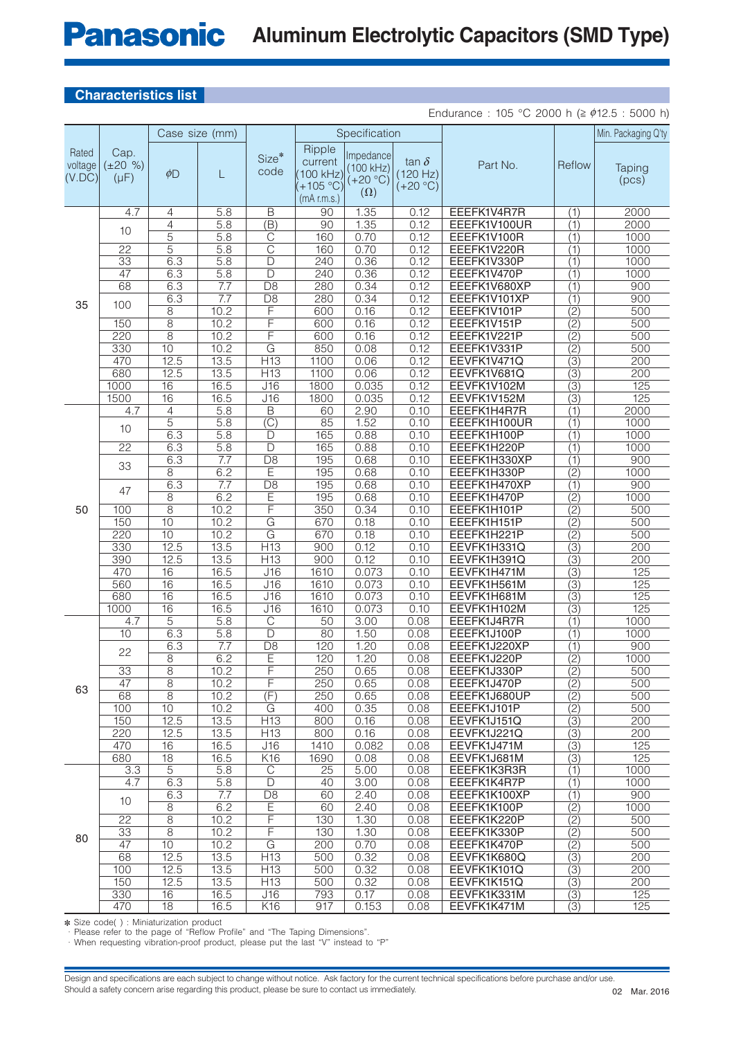### **Panasonic Aluminum Electrolytic Capacitors (SMD Type)**

### **Characteristics list**

Endurance : 105 °C 2000 h ( $\geq \phi$ 12.5 : 5000 h)

|                            |                                    | Case size (mm)          |                         |                              |                                                            | Specification                                      |                                        |                             |                                  | Min. Packaging Q'ty |
|----------------------------|------------------------------------|-------------------------|-------------------------|------------------------------|------------------------------------------------------------|----------------------------------------------------|----------------------------------------|-----------------------------|----------------------------------|---------------------|
| Rated<br>voltage<br>(V.DC) | Cap.<br>$(\pm 20\% )$<br>$(\mu F)$ | $\phi$ D                | L                       | Size*<br>code                | Ripple<br>current<br>100 kHz)<br>+105 °C)<br>$(mA$ r.m.s.) | Impedance<br>(100 kHz)<br>$(+20 °C)$<br>$(\Omega)$ | tan $\delta$<br>(120 Hz)<br>$(+20 °C)$ | Part No.                    | Reflow                           | Taping<br>(pcs)     |
|                            | 4.7                                | 4                       | 5.8                     | Β                            | 90                                                         | 1.35                                               | 0.12                                   | EEEFK1V4R7R                 | (1)                              | 2000                |
|                            | 10                                 | 4                       | $\overline{5.8}$        | $\overline{(\mathsf{B})}$    | 90                                                         | 1.35                                               | 0.12                                   | EEEFK1V100UR                | (1)                              | 2000                |
|                            |                                    | $\overline{5}$          | 5.8                     | $\overline{\text{C}}$        | 160                                                        | 0.70                                               | 0.12                                   | EEEFK1V100R                 | (1)                              | 1000                |
|                            | $\overline{22}$                    | 5                       | 5.8                     | $\overline{\text{C}}$        | 160                                                        | 0.70                                               | 0.12                                   | EEEFK1V220R                 | (1)                              | 1000                |
|                            | $\overline{33}$                    | 6.3                     | 5.8                     | D<br>$\overline{\mathsf{D}}$ | 240                                                        | 0.36                                               | 0.12<br>0.12                           | EEEFK1V330P                 | (1)                              | 1000<br>1000        |
|                            | 47<br>68                           | 6.3                     | 5.8                     | $\overline{D8}$              | 240<br>280                                                 | 0.36                                               | 0.12                                   | EEEFK1V470P<br>EEEFK1V680XP | $\overline{(1)}$                 |                     |
|                            |                                    | 6.3<br>6.3              | 7.7<br>$\overline{7.7}$ | $\overline{D8}$              | 280                                                        | 0.34<br>0.34                                       | 0.12                                   | EEEFK1V101XP                | (1)<br>(1)                       | 900<br>900          |
| 35                         | 100                                | $\overline{8}$          | 10.2                    | F                            | 600                                                        | 0.16                                               | 0.12                                   | EEEFK1V101P                 | $\overline{(2)}$                 | 500                 |
|                            | 150                                | $\overline{8}$          | 10.2                    | F                            | 600                                                        | 0.16                                               | 0.12                                   | EEEFK1V151P                 | $\overline{(2)}$                 | 500                 |
|                            | 220                                | $\overline{8}$          | 10.2                    | F                            | 600                                                        | 0.16                                               | 0.12                                   | EEEFK1V221P                 | (2)                              | 500                 |
|                            | 330                                | 10                      | 10.2                    | $\overline{\mathsf{G}}$      | 850                                                        | 0.08                                               | 0.12                                   | EEEFK1V331P                 | $\overline{(2)}$                 | 500                 |
|                            | 470                                | 12.5                    | 13.5                    | H13                          | 1100                                                       | 0.06                                               | 0.12                                   | EEVFK1V471Q                 | $\overline{3}$                   | 200                 |
|                            | 680                                | 12.5                    | 13.5                    | H13                          | 1100                                                       | 0.06                                               | 0.12                                   | EEVFK1V681Q                 | $\overline{(3)}$                 | 200                 |
|                            | 1000                               | 16                      | 16.5                    | $\overline{J16}$             | 1800                                                       | 0.035                                              | 0.12                                   | EEVFK1V102M                 | $\overline{(3)}$                 | 125                 |
|                            | 1500                               | $\overline{16}$         | 16.5                    | J16                          | 1800                                                       | 0.035                                              | 0.12                                   | EEVFK1V152M                 | $\overline{(3)}$                 | 125                 |
|                            | 4.7                                | 4                       | 5.8                     | $\overline{B}$               | 60                                                         | 2.90                                               | 0.10                                   | EEEFK1H4R7R                 | (1)                              | 2000                |
|                            | 10                                 | 5                       | 5.8                     | $\overline{\text{(C)}}$      | 85                                                         | 1.52                                               | 0.10                                   | EEEFK1H100UR                | (1)                              | 1000                |
|                            |                                    | 6.3                     | 5.8                     | D                            | 165                                                        | 0.88                                               | 0.10                                   | EEEFK1H100P                 | (1)                              | 1000                |
|                            | $\overline{22}$                    | 6.3                     | $\overline{5.8}$        | $\overline{\mathsf{D}}$      | 165                                                        | 0.88                                               | 0.10                                   | EEEFK1H220P                 | $\overline{(1)}$                 | 1000                |
|                            | 33                                 | 6.3                     | $\overline{7.7}$        | $\overline{D8}$              | 195                                                        | 0.68                                               | 0.10                                   | EEEFK1H330XP                | (1)                              | 900                 |
|                            |                                    | $\overline{8}$          | 6.2                     | E                            | 195                                                        | 0.68                                               | 0.10                                   | EEEFK1H330P                 | $\overline{(2)}$                 | 1000                |
|                            | 47                                 | 6.3                     | 7.7                     | $\overline{D8}$              | 195                                                        | 0.68                                               | 0.10                                   | EEEFK1H470XP                | (1)                              | 900                 |
| 50                         |                                    | 8                       | 6.2                     | E                            | 195                                                        | 0.68                                               | 0.10                                   | EEEFK1H470P                 | $\overline{(2)}$                 | 1000                |
|                            | 100                                | $\overline{8}$          | 10.2                    | F                            | 350                                                        | 0.34                                               | 0.10                                   | EEEFK1H101P                 | (2)                              | 500                 |
|                            | 150                                | 10                      | 10.2                    | $\overline{\mathsf{G}}$      | 670                                                        | 0.18                                               | 0.10                                   | EEEFK1H151P                 | $\overline{(2)}$                 | 500                 |
|                            | 220                                | 10                      | 10.2                    | $\overline{\mathsf{G}}$      | 670                                                        | 0.18                                               | 0.10                                   | EEEFK1H221P                 | $\overline{(2)}$                 | 500                 |
|                            | 330                                | 12.5                    | 13.5                    | H13                          | 900                                                        | 0.12                                               | 0.10                                   | EEVFK1H331Q                 | $\overline{(3)}$                 | 200                 |
|                            | 390                                | 12.5<br>$\overline{16}$ | 13.5                    | $\overline{H13}$             | 900                                                        | 0.12<br>0.073                                      | 0.10                                   | EEVFK1H391Q                 | $\overline{3)}$                  | 200<br>125          |
|                            | 470<br>560                         | 16                      | 16.5<br>16.5            | J16<br>J16                   | 1610<br>1610                                               | 0.073                                              | 0.10<br>0.10                           | EEVFK1H471M<br>EEVFK1H561M  | $\overline{(3)}$                 | 125                 |
|                            | 680                                | 16                      | 16.5                    | J16                          | 1610                                                       | 0.073                                              | 0.10                                   | EEVFK1H681M                 | $\overline{3}$<br>$\overline{3}$ | 125                 |
|                            | 1000                               | $\overline{16}$         | 16.5                    | J16                          | 1610                                                       | 0.073                                              | 0.10                                   | EEVFK1H102M                 | $\overline{(3)}$                 | 125                 |
|                            | 4.7                                | $\overline{5}$          | 5.8                     | $\overline{\mathbb{C}}$      | $\overline{50}$                                            | 3.00                                               | 0.08                                   | EEEFK1J4R7R                 | (1)                              | 1000                |
|                            | 10                                 | 6.3                     | 5.8                     | $\overline{D}$               | 80                                                         | 1.50                                               | 0.08                                   | EEEFK1J100P                 | (1)                              | 1000                |
|                            |                                    | 6.3                     | 7.7                     | $\overline{D8}$              | 120                                                        | 1.20                                               | 0.08                                   | EEEFK1J220XP                | (1)                              | 900                 |
|                            | 22                                 | $\overline{8}$          | 6.2                     | E                            | 120                                                        | 1.20                                               | 0.08                                   | EEEFK1J220P                 | $\overline{(2)}$                 | 1000                |
|                            | 33                                 | 8                       | 10.2                    | F                            | 250                                                        | 0.65                                               | 0.08                                   | EEEFK1J330P                 | $\overline{(2)}$                 | 500                 |
| 63                         | 47                                 | 8                       | 10.2                    | F                            | 250                                                        | 0.65                                               | 0.08                                   | EEEFK1J470P                 | (2)                              | 500                 |
|                            | 68                                 | $\overline{8}$          | 10.2                    | $\overline{(F)}$             | 250                                                        | 0.65                                               | 0.08                                   | EEEFK1J680UP                | (2)                              | 500                 |
|                            | 100                                | 10                      | 10.2                    | G                            | 400                                                        | 0.35                                               | 0.08                                   | EEEFK1J101P                 | $\overline{(2)}$                 | 500                 |
|                            | 150                                | 12.5                    | 13.5                    | H13                          | 800                                                        | 0.16                                               | 0.08                                   | EEVFK1J151Q                 | $\overline{(3)}$                 | 200                 |
|                            | 220                                | 12.5                    | 13.5                    | H13                          | 800                                                        | 0.16                                               | 0.08                                   | EEVFK1J221Q                 | $\overline{(3)}$                 | 200                 |
|                            | 470                                | 16                      | 16.5                    | J16                          | 1410                                                       | 0.082                                              | 0.08                                   | EEVFK1J471M                 | (3)                              | 125                 |
|                            | 680                                | $\overline{18}$         | 16.5                    | K16                          | 1690                                                       | 0.08                                               | 0.08                                   | EEVFK1J681M                 | $\overline{(3)}$                 | 125                 |
|                            | 3.3                                | $\overline{5}$          | 5.8                     | $\overline{C}$               | $\overline{25}$                                            | 5.00                                               | 0.08                                   | EEEFK1K3R3R                 | (1)                              | 1000                |
|                            | 4.7                                | 6.3                     | 5.8                     | D                            | 40                                                         | 3.00                                               | 0.08                                   | EEEFK1K4R7P                 | (1)                              | 1000                |
|                            | 10                                 | 6.3                     | 7.7<br>6.2              | D <sub>8</sub>               | 60                                                         | 2.40                                               | 0.08                                   | EEEFK1K100XP                | (1)                              | 900                 |
|                            |                                    | 8                       |                         | $\overline{E}$               | 60                                                         | 2.40                                               | 0.08                                   | EEEFK1K100P<br>EEEFK1K220P  | (2)                              | 1000                |
|                            | 22<br>$\overline{33}$              | 8<br>$\overline{8}$     | 10.2<br>10.2            | F<br>$\overline{\mathsf{F}}$ | 130<br>130                                                 | 1.30<br>1.30                                       | 0.08<br>0.08                           | EEEFK1K330P                 | (2)<br>$\overline{(2)}$          | 500<br>500          |
| 80                         | $\overline{47}$                    | 10                      | 10.2                    | $\overline{G}$               | 200                                                        | 0.70                                               | 0.08                                   | EEEFK1K470P                 | $\overline{(2)}$                 | 500                 |
|                            | 68                                 | 12.5                    | 13.5                    | H13                          | 500                                                        | 0.32                                               | 0.08                                   | EEVFK1K680Q                 | $\overline{(3)}$                 | 200                 |
|                            | 100                                | 12.5                    | 13.5                    | H13                          | 500                                                        | 0.32                                               | 0.08                                   | EEVFK1K101Q                 | $\overline{(3)}$                 | 200                 |
|                            | 150                                | 12.5                    | 13.5                    | H <sub>13</sub>              | 500                                                        | 0.32                                               | 0.08                                   | EEVFK1K151Q                 | $\overline{(3)}$                 | 200                 |
|                            | 330                                | 16                      | 16.5                    | J16                          | 793                                                        | 0.17                                               | 0.08                                   | EEVFK1K331M                 | (3)                              | 125                 |
|                            | 470                                | 18                      | 16.5                    | K16                          | 917                                                        | 0.153                                              | 0.08                                   | EEVFK1K471M                 | $\overline{(3)}$                 | 125                 |

✽ Size code( ) : Miniaturization product

· Please refer to the page of "Reflow Profile" and "The Taping Dimensions".

· When requesting vibration-proof product, please put the last "V" instead to "P"

Design and specifications are each subject to change without notice. Ask factory for the current technical specifications before purchase and/or use. Should a safety concern arise regarding this product, please be sure to contact us immediately.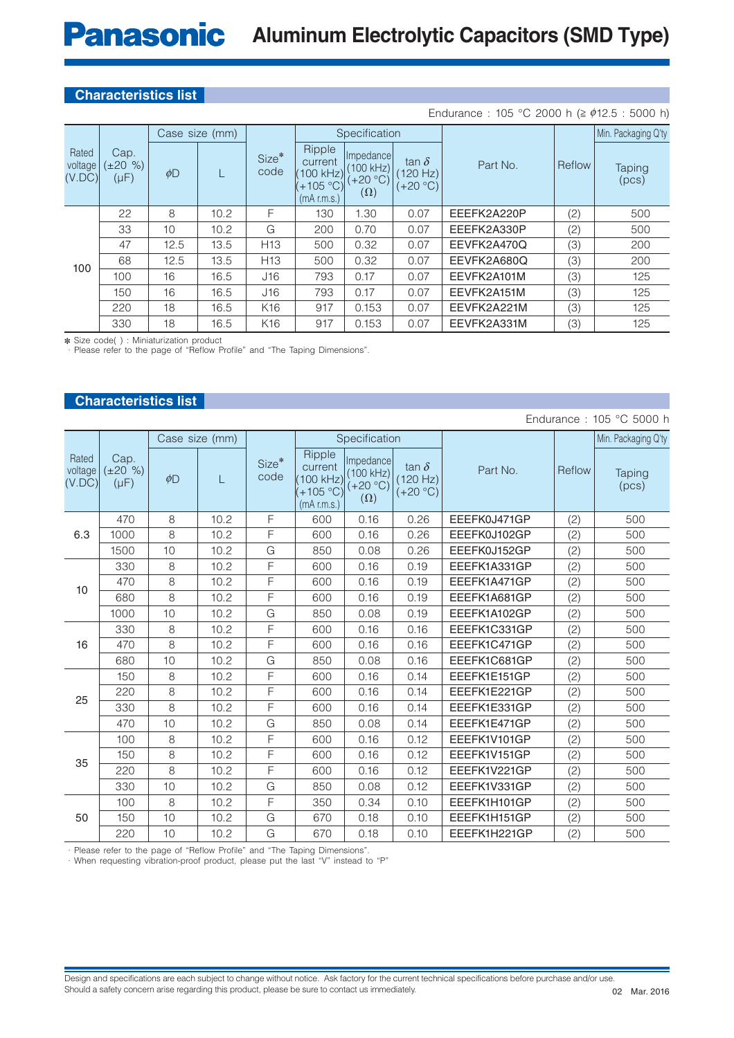### **Characteristics list**

#### Rated voltage  $(V.DC)$ Cap.  $(\pm 20 \%)$  $(\mu F)$ Case size (mm) Size<sup>\*</sup> code Specification Part No. Reflow Min. Packaging Q'ty  $\phi$ D | | Ripple current (100 kHz)  $(+105 °C)$ (mA r.m.s.) Impedance (100 kHz)  $(+20 °C)$  $(\Omega)$ tan  $\delta$  $(120 Hz)$  $(+20 °C)$ Taping (pcs) 100 22 8 10.2 F 130 1.30 0.07 EEEFK2A220P (2) 500 33 10 10.2 G 200 0.70 0.07 EEEFK2A330P (2) 500 47 | 12.5 | 13.5 | H13 | 500 | 0.32 | 0.07 | EEVFK2A470Q | (3) | 200 68 | 12.5 | 13.5 | H13 | 500 | 0.32 | 0.07 | EEVFK2A680Q | (3) | 200 100 | 16 | 16.5 | J16 | 793 | 0.17 | 0.07 | EEVFK2A101M | (3) | 125 150 16 16.5 J16 793 0.17 0.07 EEVFK2A151M (3) 125 220 | 18 | 16.5 | K16 | 917 | 0.153 | 0.07 | EEVFK2A221M | (3) | 125 330 18 16.5 K16 917 0.153 0.07 EEVFK2A331M (3) 125 Endurance : 105 °C 2000 h ( $\geq \phi$ 12.5 : 5000 h)

✽ Size code( ) : Miniaturization product

· Please refer to the page of "Reflow Profile" and "The Taping Dimensions".

## **Characteristics list**

| Endurance: 105 °C 5000 h   |                                    |          |                |               |                                                             |                                                    |                                        |              |        |                        |
|----------------------------|------------------------------------|----------|----------------|---------------|-------------------------------------------------------------|----------------------------------------------------|----------------------------------------|--------------|--------|------------------------|
|                            |                                    |          | Case size (mm) |               |                                                             | Specification                                      |                                        |              |        | Min. Packaging Q'ty    |
| Rated<br>voltage<br>(V.DC) | Cap.<br>$(\pm 20 \%)$<br>$(\mu F)$ | $\phi$ D | L              | Size*<br>code | Ripple<br>current<br>100 kHz)<br>$(+105 °C)$<br>(mA r.m.s.) | Impedance<br>(100 kHz)<br>$(+20 °C)$<br>$(\Omega)$ | tan $\delta$<br>(120 Hz)<br>$(+20 °C)$ | Part No.     | Reflow | <b>Taping</b><br>(pcs) |
|                            | 470                                | 8        | 10.2           | F             | 600                                                         | 0.16                                               | 0.26                                   | EEEFK0J471GP | (2)    | 500                    |
| 6.3                        | 1000                               | 8        | 10.2           | F             | 600                                                         | 0.16                                               | 0.26                                   | EEEFK0J102GP | (2)    | 500                    |
|                            | 1500                               | 10       | 10.2           | G             | 850                                                         | 0.08                                               | 0.26                                   | EEEFK0J152GP | (2)    | 500                    |
|                            | 330                                | 8        | 10.2           | F             | 600                                                         | 0.16                                               | 0.19                                   | EEEFK1A331GP | (2)    | 500                    |
| 10                         | 470                                | 8        | 10.2           | F             | 600                                                         | 0.16                                               | 0.19                                   | EEEFK1A471GP | (2)    | 500                    |
|                            | 680                                | 8        | 10.2           | F             | 600                                                         | 0.16                                               | 0.19                                   | EEEFK1A681GP | (2)    | 500                    |
|                            | 1000                               | 10       | 10.2           | G             | 850                                                         | 0.08                                               | 0.19                                   | EEEFK1A102GP | (2)    | 500                    |
|                            | 330                                | 8        | 10.2           | F             | 600                                                         | 0.16                                               | 0.16                                   | EEEFK1C331GP | (2)    | 500                    |
| 16                         | 470                                | 8        | 10.2           | F             | 600                                                         | 0.16                                               | 0.16                                   | EEEFK1C471GP | (2)    | 500                    |
|                            | 680                                | 10       | 10.2           | G             | 850                                                         | 0.08                                               | 0.16                                   | EEEFK1C681GP | (2)    | 500                    |
|                            | 150                                | 8        | 10.2           | F             | 600                                                         | 0.16                                               | 0.14                                   | EEEFK1E151GP | (2)    | 500                    |
| 25                         | 220                                | 8        | 10.2           | F             | 600                                                         | 0.16                                               | 0.14                                   | EEEFK1E221GP | (2)    | 500                    |
|                            | 330                                | 8        | 10.2           | F             | 600                                                         | 0.16                                               | 0.14                                   | EEEFK1E331GP | (2)    | 500                    |
|                            | 470                                | 10       | 10.2           | G             | 850                                                         | 0.08                                               | 0.14                                   | EEEFK1E471GP | (2)    | 500                    |
|                            | 100                                | 8        | 10.2           | F             | 600                                                         | 0.16                                               | 0.12                                   | EEEFK1V101GP | (2)    | 500                    |
|                            | 150                                | 8        | 10.2           | F             | 600                                                         | 0.16                                               | 0.12                                   | EEEFK1V151GP | (2)    | 500                    |
| 35                         | 220                                | 8        | 10.2           | F             | 600                                                         | 0.16                                               | 0.12                                   | EEEFK1V221GP | (2)    | 500                    |
|                            | 330                                | 10       | 10.2           | G             | 850                                                         | 0.08                                               | 0.12                                   | EEEFK1V331GP | (2)    | 500                    |
|                            | 100                                | 8        | 10.2           | F             | 350                                                         | 0.34                                               | 0.10                                   | EEEFK1H101GP | (2)    | 500                    |
| 50                         | 150                                | 10       | 10.2           | G             | 670                                                         | 0.18                                               | 0.10                                   | EEEFK1H151GP | (2)    | 500                    |
|                            | 220                                | 10       | 10.2           | G             | 670                                                         | 0.18                                               | 0.10                                   | EEEFK1H221GP | (2)    | 500                    |

Please refer to the page of "Reflow Profile" and "The Taping Dimensions"

· When requesting vibration-proof product, please put the last "V" instead to "P"